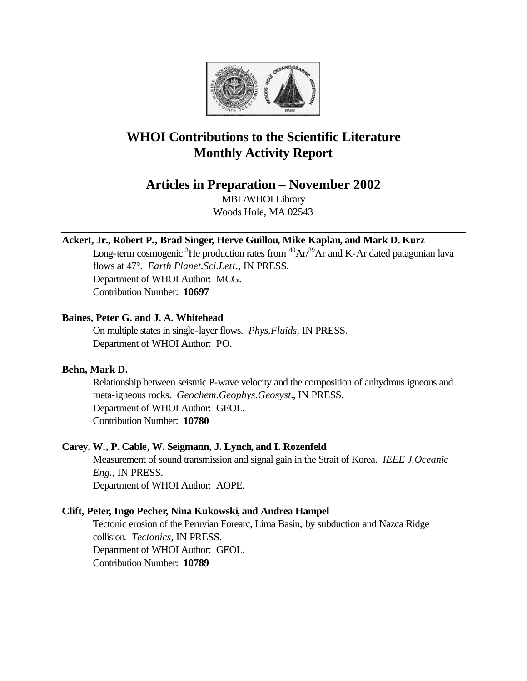

# **WHOI Contributions to the Scientific Literature Monthly Activity Report**

**Articles in Preparation – November 2002**

MBL/WHOI Library Woods Hole, MA 02543

# **Ackert, Jr., Robert P., Brad Singer, Herve Guillou, Mike Kaplan, and Mark D. Kurz**

Long-term cosmogenic <sup>3</sup>He production rates from  ${}^{40}Ar/{}^{39}Ar$  and K-Ar dated patagonian lava flows at 47°. *Earth Planet.Sci.Lett.*, IN PRESS. Department of WHOI Author: MCG. Contribution Number: **10697**

# **Baines, Peter G. and J. A. Whitehead**

On multiple states in single-layer flows. *Phys.Fluids*, IN PRESS. Department of WHOI Author: PO.

# **Behn, Mark D.**

Relationship between seismic P-wave velocity and the composition of anhydrous igneous and meta-igneous rocks. *Geochem.Geophys.Geosyst.*, IN PRESS. Department of WHOI Author: GEOL. Contribution Number: **10780**

# **Carey, W., P. Cable, W. Seigmann, J. Lynch, and I. Rozenfeld**

Measurement of sound transmission and signal gain in the Strait of Korea. *IEEE J.Oceanic Eng.*, IN PRESS. Department of WHOI Author: AOPE.

# **Clift, Peter, Ingo Pecher, Nina Kukowski, and Andrea Hampel**

Tectonic erosion of the Peruvian Forearc, Lima Basin, by subduction and Nazca Ridge collision. *Tectonics*, IN PRESS. Department of WHOI Author: GEOL. Contribution Number: **10789**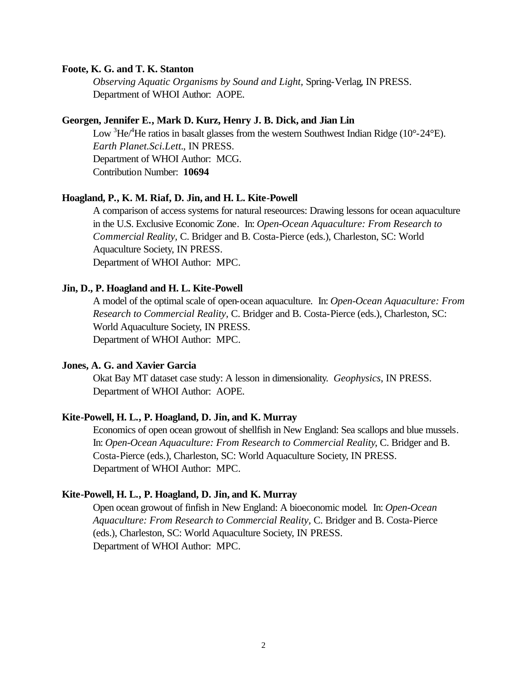#### **Foote, K. G. and T. K. Stanton**

*Observing Aquatic Organisms by Sound and Light,* Spring-Verlag, IN PRESS. Department of WHOI Author: AOPE.

#### **Georgen, Jennifer E., Mark D. Kurz, Henry J. B. Dick, and Jian Lin**

Low  ${}^{3}\text{He}^{4}\text{He}$  ratios in basalt glasses from the western Southwest Indian Ridge (10°-24°E). *Earth Planet.Sci.Lett.*, IN PRESS. Department of WHOI Author: MCG. Contribution Number: **10694**

#### **Hoagland, P., K. M. Riaf, D. Jin, and H. L. Kite-Powell**

A comparison of access systems for natural reseources: Drawing lessons for ocean aquaculture in the U.S. Exclusive Economic Zone. In: *Open-Ocean Aquaculture: From Research to Commercial Reality,* C. Bridger and B. Costa-Pierce (eds.), Charleston, SC: World Aquaculture Society, IN PRESS. Department of WHOI Author: MPC.

#### **Jin, D., P. Hoagland and H. L. Kite-Powell**

A model of the optimal scale of open-ocean aquaculture. In: *Open-Ocean Aquaculture: From Research to Commercial Reality,* C. Bridger and B. Costa-Pierce (eds.), Charleston, SC: World Aquaculture Society, IN PRESS. Department of WHOI Author: MPC.

#### **Jones, A. G. and Xavier Garcia**

Okat Bay MT dataset case study: A lesson in dimensionality. *Geophysics*, IN PRESS. Department of WHOI Author: AOPE.

#### **Kite-Powell, H. L., P. Hoagland, D. Jin, and K. Murray**

Economics of open ocean growout of shellfish in New England: Sea scallops and blue mussels. In: *Open-Ocean Aquaculture: From Research to Commercial Reality*, C. Bridger and B. Costa-Pierce (eds.), Charleston, SC: World Aquaculture Society, IN PRESS. Department of WHOI Author: MPC.

#### **Kite-Powell, H. L., P. Hoagland, D. Jin, and K. Murray**

Open ocean growout of finfish in New England: A bioeconomic model. In: *Open-Ocean Aquaculture: From Research to Commercial Reality,* C. Bridger and B. Costa-Pierce (eds.), Charleston, SC: World Aquaculture Society, IN PRESS. Department of WHOI Author: MPC.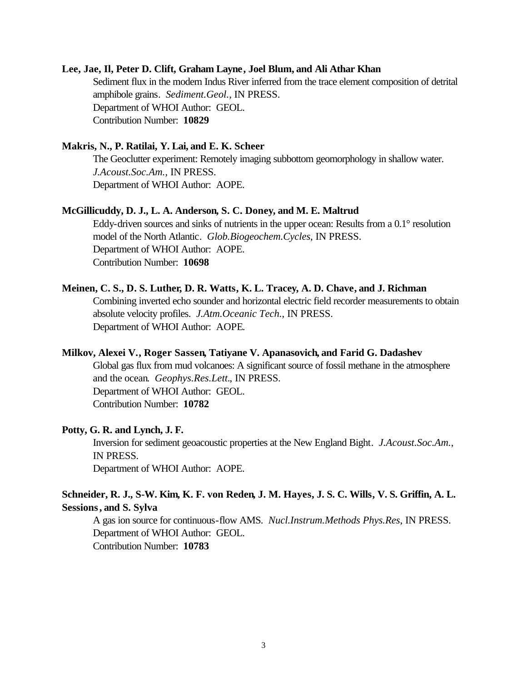#### **Lee, Jae, Il, Peter D. Clift, Graham Layne, Joel Blum, and Ali Athar Khan**

Sediment flux in the modern Indus River inferred from the trace element composition of detrital amphibole grains. *Sediment.Geol.*, IN PRESS. Department of WHOI Author: GEOL. Contribution Number: **10829**

#### **Makris, N., P. Ratilai, Y. Lai, and E. K. Scheer**

The Geoclutter experiment: Remotely imaging subbottom geomorphology in shallow water. *J.Acoust.Soc.Am.*, IN PRESS. Department of WHOI Author: AOPE.

#### **McGillicuddy, D. J., L. A. Anderson, S. C. Doney, and M. E. Maltrud**

Eddy-driven sources and sinks of nutrients in the upper ocean: Results from a 0.1° resolution model of the North Atlantic. *Glob.Biogeochem.Cycles*, IN PRESS. Department of WHOI Author: AOPE. Contribution Number: **10698**

#### **Meinen, C. S., D. S. Luther, D. R. Watts, K. L. Tracey, A. D. Chave, and J. Richman**

Combining inverted echo sounder and horizontal electric field recorder measurements to obtain absolute velocity profiles. *J.Atm.Oceanic Tech.*, IN PRESS. Department of WHOI Author: AOPE.

#### **Milkov, Alexei V., Roger Sassen, Tatiyane V. Apanasovich, and Farid G. Dadashev**

Global gas flux from mud volcanoes: A significant source of fossil methane in the atmosphere and the ocean. *Geophys.Res.Lett.*, IN PRESS. Department of WHOI Author: GEOL. Contribution Number: **10782**

#### **Potty, G. R. and Lynch, J. F.**

Inversion for sediment geoacoustic properties at the New England Bight. *J.Acoust.Soc.Am.*, IN PRESS. Department of WHOI Author: AOPE.

# **Schneider, R. J., S-W. Kim, K. F. von Reden, J. M. Hayes, J. S. C. Wills, V. S. Griffin, A. L. Sessions, and S. Sylva**

A gas ion source for continuous-flow AMS. *Nucl.Instrum.Methods Phys.Res*, IN PRESS. Department of WHOI Author: GEOL. Contribution Number: **10783**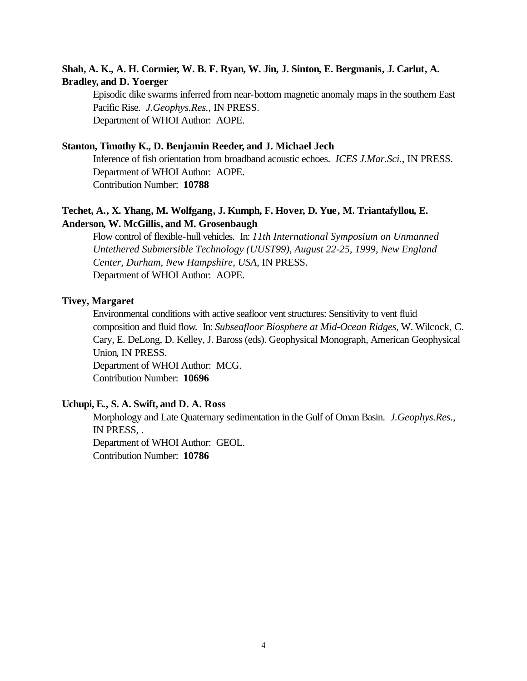# **Shah, A. K., A. H. Cormier, W. B. F. Ryan, W. Jin, J. Sinton, E. Bergmanis, J. Carlut, A. Bradley, and D. Yoerger**

Episodic dike swarms inferred from near-bottom magnetic anomaly maps in the southern East Pacific Rise. *J.Geophys.Res.*, IN PRESS. Department of WHOI Author: AOPE.

# **Stanton, Timothy K., D. Benjamin Reeder, and J. Michael Jech**

Inference of fish orientation from broadband acoustic echoes. *ICES J.Mar.Sci.*, IN PRESS. Department of WHOI Author: AOPE. Contribution Number: **10788**

# **Techet, A., X. Yhang, M. Wolfgang, J. Kumph, F. Hover, D. Yue, M. Triantafyllou, E. Anderson, W. McGillis, and M. Grosenbaugh**

Flow control of flexible-hull vehicles. In: *11th International Symposium on Unmanned Untethered Submersible Technology (UUST99), August 22-25, 1999, New England Center, Durham, New Hampshire, USA*, IN PRESS. Department of WHOI Author: AOPE.

#### **Tivey, Margaret**

Environmental conditions with active seafloor vent structures: Sensitivity to vent fluid composition and fluid flow. In: *Subseafloor Biosphere at Mid-Ocean Ridges*, W. Wilcock, C. Cary, E. DeLong, D. Kelley, J. Baross (eds). Geophysical Monograph, American Geophysical Union, IN PRESS. Department of WHOI Author: MCG. Contribution Number: **10696**

### **Uchupi, E., S. A. Swift, and D. A. Ross**

Morphology and Late Quaternary sedimentation in the Gulf of Oman Basin. *J.Geophys.Res.*, IN PRESS, . Department of WHOI Author: GEOL. Contribution Number: **10786**